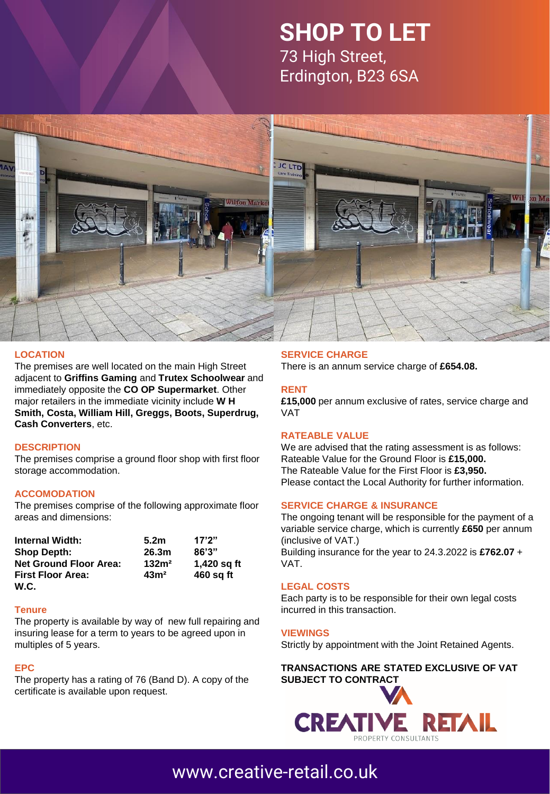# **SHOP TO LET** 73 High Street,

Erdington, B23 6SA



#### **LOCATION**

The premises are well located on the main High Street adjacent to **Griffins Gaming** and **Trutex Schoolwear** and immediately opposite the **CO OP Supermarket**. Other major retailers in the immediate vicinity include **W H Smith, Costa, William Hill, Greggs, Boots, Superdrug, Cash Converters**, etc.

#### **DESCRIPTION**

The premises comprise a ground floor shop with first floor storage accommodation.

#### **ACCOMODATION**

The premises comprise of the following approximate floor areas and dimensions:

| <b>Internal Width:</b>        | 5.2 <sub>m</sub>  | 17'2''      |
|-------------------------------|-------------------|-------------|
| <b>Shop Depth:</b>            | 26.3m             | 86'3''      |
| <b>Net Ground Floor Area:</b> | 132m <sup>2</sup> | 1,420 sg ft |
| <b>First Floor Area:</b>      | 43 <sup>m²</sup>  | 460 sq ft   |
| W.C.                          |                   |             |

#### **Tenure**

The property is available by way of new full repairing and insuring lease for a term to years to be agreed upon in multiples of 5 years.

#### **EPC**

The property has a rating of 76 (Band D). A copy of the certificate is available upon request.

#### **SERVICE CHARGE**

There is an annum service charge of **£654.08.**

#### **RENT**

**£15,000** per annum exclusive of rates, service charge and VAT

#### **RATEABLE VALUE**

We are advised that the rating assessment is as follows: Rateable Value for the Ground Floor is **£15,000.** The Rateable Value for the First Floor is **£3,950.** Please contact the Local Authority for further information.

#### **SERVICE CHARGE & INSURANCE**

The ongoing tenant will be responsible for the payment of a variable service charge, which is currently **£650** per annum (inclusive of VAT.) Building insurance for the year to 24.3.2022 is **£762.07** + VAT.

#### **LEGAL COSTS**

Each party is to be responsible for their own legal costs incurred in this transaction.

#### **VIEWINGS**

Strictly by appointment with the Joint Retained Agents.

#### **TRANSACTIONS ARE STATED EXCLUSIVE OF VAT [SUBJECT TO CONTRACT](http://www.creative-retail.co.uk/)**



### [www.creative-retail.co.uk](http://www.creative-retail.co.uk/)